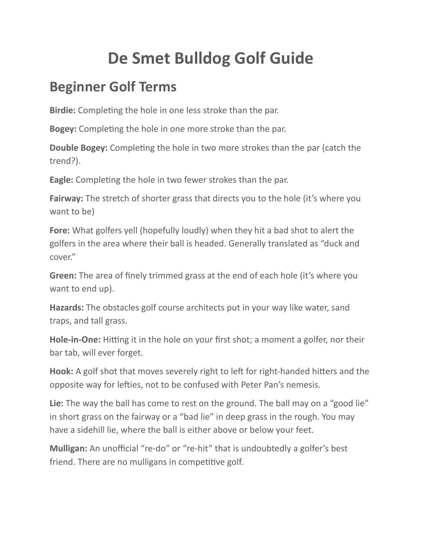# **De Smet Bulldog Golf Guide**

### **Beginner Golf Terms**

**Birdie:** Completing the hole in one less stroke than the par.

**Bogey:** Completing the hole in one more stroke than the par.

**Double Bogey:** Completing the hole in two more strokes than the par (catch the trend?).

**Eagle:** Completing the hole in two fewer strokes than the par.

**Fairway:** The stretch of shorter grass that directs you to the hole (it's where you want to be)

**Fore:** What golfers yell (hopefully loudly) when they hit a bad shot to alert the golfers in the area where their ball is headed. Generally translated as "duck and cover."

**Green:** The area of finely trimmed grass at the end of each hole (it's where you want to end up).

**Hazards:** The obstacles golf course architects put in your way like water, sand traps, and tall grass.

**Hole-in-One:** Hitting it in the hole on your first shot; a moment a golfer, nor their bar tab, will ever forget.

**Hook:** A golf shot that moves severely right to left for right-handed hitters and the opposite way for lefties, not to be confused with Peter Pan's nemesis.

**Lie:** The way the ball has come to rest on the ground. The ball may on a "good lie" in short grass on the fairway or a "bad lie" in deep grass in the rough. You may have a sidehill lie, where the ball is either above or below your feet.

**Mulligan:** An unofficial "re-do" or "re-hit" that is undoubtedly a golfer's best friend. There are no mulligans in competitive golf.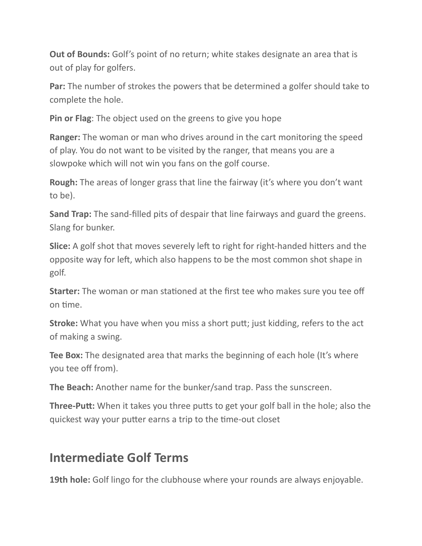**Out of Bounds:** Golf's point of no return; white stakes designate an area that is out of play for golfers.

**Par:** The number of strokes the powers that be determined a golfer should take to complete the hole.

**Pin or Flag**: The object used on the greens to give you hope

**Ranger:** The woman or man who drives around in the cart monitoring the speed of play. You do not want to be visited by the ranger, that means you are a slowpoke which will not win you fans on the golf course.

**Rough:** The areas of longer grass that line the fairway (it's where you don't want to be).

**Sand Trap:** The sand-filled pits of despair that line fairways and guard the greens. Slang for bunker.

**Slice:** A golf shot that moves severely left to right for right-handed hitters and the opposite way for left, which also happens to be the most common shot shape in golf.

**Starter:** The woman or man stationed at the first tee who makes sure you tee off on time.

**Stroke:** What you have when you miss a short putt; just kidding, refers to the act of making a swing.

**Tee Box:** The designated area that marks the beginning of each hole (It's where you tee off from).

**The Beach:** Another name for the bunker/sand trap. Pass the sunscreen.

**Three-Putt:** When it takes you three putts to get your golf ball in the hole; also the quickest way your putter earns a trip to the time-out closet

### **Intermediate Golf Terms**

**19th hole:** Golf lingo for the clubhouse where your rounds are always enjoyable.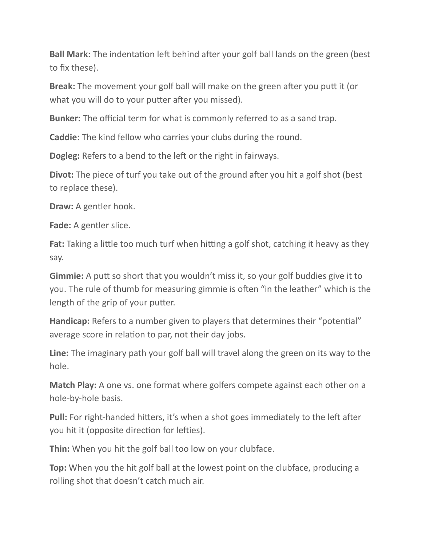**Ball Mark:** The indentation left behind after your golf ball lands on the green (best to fix these).

**Break:** The movement your golf ball will make on the green after you putt it (or what you will do to your putter after you missed).

**Bunker:** The official term for what is commonly referred to as a sand trap.

**Caddie:** The kind fellow who carries your clubs during the round.

**Dogleg:** Refers to a bend to the left or the right in fairways.

**Divot:** The piece of turf you take out of the ground after you hit a golf shot (best to replace these).

**Draw:** A gentler hook.

**Fade:** A gentler slice.

**Fat:** Taking a little too much turf when hitting a golf shot, catching it heavy as they say.

**Gimmie:** A putt so short that you wouldn't miss it, so your golf buddies give it to you. The rule of thumb for measuring gimmie is often "in the leather" which is the length of the grip of your putter.

**Handicap:** Refers to a number given to players that determines their "potential" average score in relation to par, not their day jobs.

**Line:** The imaginary path your golf ball will travel along the green on its way to the hole.

**Match Play:** A one vs. one format where golfers compete against each other on a hole-by-hole basis.

**Pull:** For right-handed hitters, it's when a shot goes immediately to the left after you hit it (opposite direction for lefties).

**Thin:** When you hit the golf ball too low on your clubface.

**Top:** When you the hit golf ball at the lowest point on the clubface, producing a rolling shot that doesn't catch much air.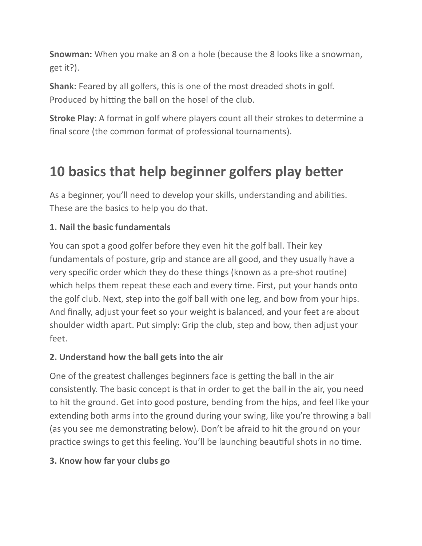**Snowman:** When you make an 8 on a hole (because the 8 looks like a snowman, get it?).

**Shank:** Feared by all golfers, this is one of the most dreaded shots in golf. Produced by hitting the ball on the hosel of the club.

**Stroke Play:** A format in golf where players count all their strokes to determine a final score (the common format of professional tournaments).

## **10 basics that help beginner golfers play better**

As a beginner, you'll need to develop your skills, understanding and abilities. These are the basics to help you do that.

### **1. Nail the basic fundamentals**

You can spot a good golfer before they even hit the golf ball. Their key fundamentals of posture, grip and stance are all good, and they usually have a very specific order which they do these things (known as a pre-shot routine) which helps them repeat these each and every time. First, put your hands onto the golf club. Next, step into the golf ball with one leg, and bow from your hips. And finally, adjust your feet so your weight is balanced, and your feet are about shoulder width apart. Put simply: Grip the club, step and bow, then adjust your feet.

### **2. Understand how the ball gets into the air**

One of the greatest challenges beginners face is getting the ball in the air consistently. The basic concept is that in order to get the ball in the air, you need to hit the ground. Get into good posture, bending from the hips, and feel like your extending both arms into the ground during your swing, like you're throwing a ball (as you see me demonstrating below). Don't be afraid to hit the ground on your practice swings to get this feeling. You'll be launching beautiful shots in no time.

### **3. Know how far your clubs go**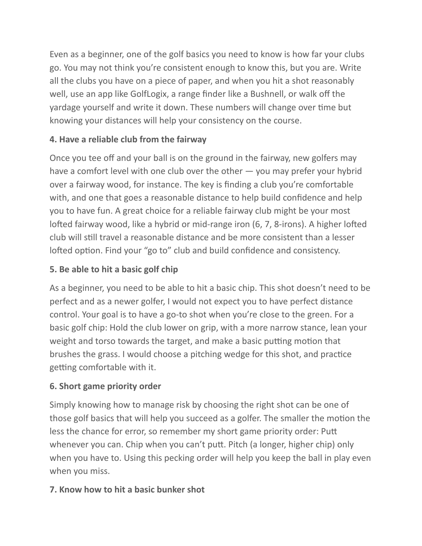Even as a beginner, one of the golf basics you need to know is how far your clubs go. You may not think you're consistent enough to know this, but you are. Write all the clubs you have on a piece of paper, and when you hit a shot reasonably well, use an app like GolfLogix, a range finder like a Bushnell, or walk off the yardage yourself and write it down. These numbers will change over time but knowing your distances will help your consistency on the course.

### **4. Have a reliable club from the fairway**

Once you tee off and your ball is on the ground in the fairway, new golfers may have a comfort level with one club over the other  $-$  you may prefer your hybrid over a fairway wood, for instance. The key is finding a club you're comfortable with, and one that goes a reasonable distance to help build confidence and help you to have fun. A great choice for a reliable fairway club might be your most lofted fairway wood, like a hybrid or mid-range iron (6, 7, 8-irons). A higher lofted club will still travel a reasonable distance and be more consistent than a lesser lofted option. Find your "go to" club and build confidence and consistency.

### **5. Be able to hit a basic golf chip**

As a beginner, you need to be able to hit a basic chip. This shot doesn't need to be perfect and as a newer golfer, I would not expect you to have perfect distance control. Your goal is to have a go-to shot when you're close to the green. For a basic golf chip: Hold the club lower on grip, with a more narrow stance, lean your weight and torso towards the target, and make a basic putting motion that brushes the grass. I would choose a pitching wedge for this shot, and practice getting comfortable with it.

### **6. Short game priority order**

Simply knowing how to manage risk by choosing the right shot can be one of those golf basics that will help you succeed as a golfer. The smaller the motion the less the chance for error, so remember my short game priority order: Putt whenever you can. Chip when you can't putt. Pitch (a longer, higher chip) only when you have to. Using this pecking order will help you keep the ball in play even when you miss.

### **7. Know how to hit a basic bunker shot**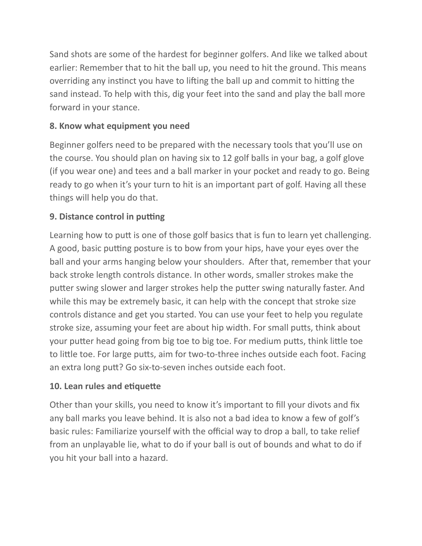Sand shots are some of the hardest for beginner golfers. And like we talked about earlier: Remember that to hit the ball up, you need to hit the ground. This means overriding any instinct you have to lifting the ball up and commit to hitting the sand instead. To help with this, dig your feet into the sand and play the ball more forward in your stance.

### **8. Know what equipment you need**

Beginner golfers need to be prepared with the necessary tools that you'll use on the course. You should plan on having six to 12 golf balls in your bag, a golf glove (if you wear one) and tees and a ball marker in your pocket and ready to go. Being ready to go when it's your turn to hit is an important part of golf. Having all these things will help you do that.

### **9. Distance control in putting**

Learning how to putt is one of those golf basics that is fun to learn yet challenging. A good, basic putting posture is to bow from your hips, have your eyes over the ball and your arms hanging below your shoulders. After that, remember that your back stroke length controls distance. In other words, smaller strokes make the putter swing slower and larger strokes help the putter swing naturally faster. And while this may be extremely basic, it can help with the concept that stroke size controls distance and get you started. You can use your feet to help you regulate stroke size, assuming your feet are about hip width. For small putts, think about your putter head going from big toe to big toe. For medium putts, think little toe to little toe. For large putts, aim for two-to-three inches outside each foot. Facing an extra long putt? Go six-to-seven inches outside each foot.

#### **10. Lean rules and etiquette**

Other than your skills, you need to know it's important to fill your divots and fix any ball marks you leave behind. It is also not a bad idea to know a few of golf's basic rules: Familiarize yourself with the official way to drop a ball, to take relief from an unplayable lie, what to do if your ball is out of bounds and what to do if you hit your ball into a hazard.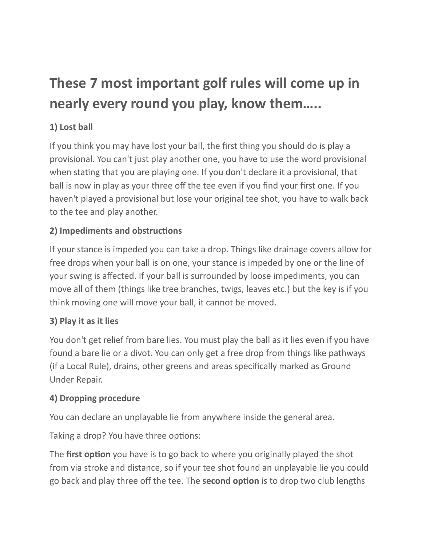## **These 7 most important golf rules will come up in nearly every round you play, know them…..**

### **1) Lost ball**

If you think you may have lost your ball, the first thing you should do is play a provisional. You can't just play another one, you have to use the word provisional when stating that you are playing one. If you don't declare it a provisional, that ball is now in play as your three off the tee even if you find your first one. If you haven't played a provisional but lose your original tee shot, you have to walk back to the tee and play another.

### **2) Impediments and obstructions**

If your stance is impeded you can take a drop. Things like drainage covers allow for free drops when your ball is on one, your stance is impeded by one or the line of your swing is affected. If your ball is surrounded by loose impediments, you can move all of them (things like tree branches, twigs, leaves etc.) but the key is if you think moving one will move your ball, it cannot be moved.

### **3) Play it as it lies**

You don't get relief from bare lies. You must play the ball as it lies even if you have found a bare lie or a divot. You can only get a free drop from things like pathways (if a Local Rule), drains, other greens and areas specifically marked as Ground Under Repair.

### **4) Dropping procedure**

You can declare an unplayable lie from anywhere inside the general area.

Taking a drop? You have three options:

The **first option** you have is to go back to where you originally played the shot from via stroke and distance, so if your tee shot found an unplayable lie you could go back and play three off the tee. The **second option** is to drop two club lengths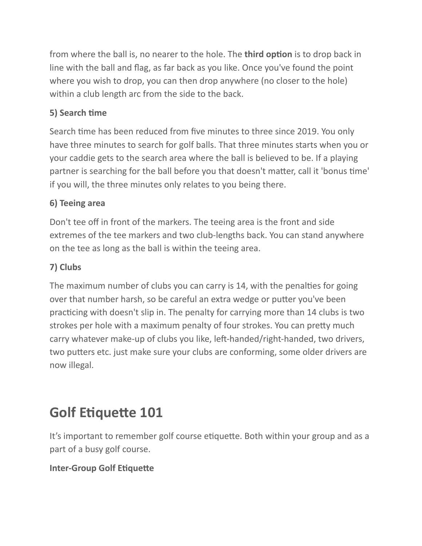from where the ball is, no nearer to the hole. The **third option** is to drop back in line with the ball and flag, as far back as you like. Once you've found the point where you wish to drop, you can then drop anywhere (no closer to the hole) within a club length arc from the side to the back.

### **5) Search time**

Search time has been reduced from five minutes to three since 2019. You only have three minutes to search for golf balls. That three minutes starts when you or your caddie gets to the search area where the ball is believed to be. If a playing partner is searching for the ball before you that doesn't matter, call it 'bonus time' if you will, the three minutes only relates to you being there.

### **6) Teeing area**

Don't tee off in front of the markers. The teeing area is the front and side extremes of the tee markers and two club-lengths back. You can stand anywhere on the tee as long as the ball is within the teeing area.

### **7) Clubs**

The maximum number of clubs you can carry is 14, with the penalties for going over that number harsh, so be careful an extra wedge or putter you've been practicing with doesn't slip in. The penalty for carrying more than 14 clubs is two strokes per hole with a maximum penalty of four strokes. You can pretty much carry whatever make-up of clubs you like, left-handed/right-handed, two drivers, two putters etc. just make sure your clubs are conforming, some older drivers are now illegal.

## **Golf Etiquette 101**

It's important to remember golf course etiquette. Both within your group and as a part of a busy golf course.

### **Inter-Group Golf Etiquette**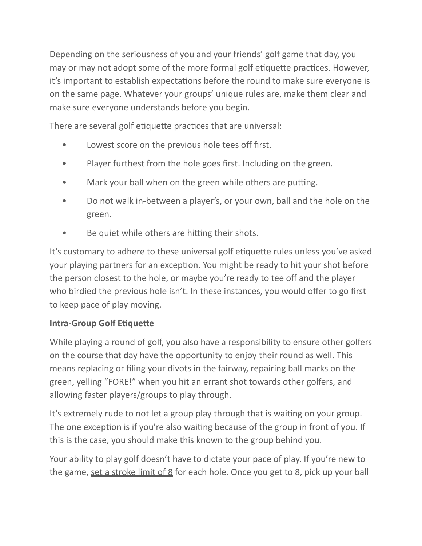Depending on the seriousness of you and your friends' golf game that day, you may or may not adopt some of the more formal golf etiquette practices. However, it's important to establish expectations before the round to make sure everyone is on the same page. Whatever your groups' unique rules are, make them clear and make sure everyone understands before you begin.

There are several golf etiquette practices that are universal:

- Lowest score on the previous hole tees off first.
- Player furthest from the hole goes first. Including on the green.
- Mark your ball when on the green while others are putting.
- Do not walk in-between a player's, or your own, ball and the hole on the green.
- Be quiet while others are hitting their shots.

It's customary to adhere to these universal golf etiquette rules unless you've asked your playing partners for an exception. You might be ready to hit your shot before the person closest to the hole, or maybe you're ready to tee off and the player who birdied the previous hole isn't. In these instances, you would offer to go first to keep pace of play moving.

#### **Intra-Group Golf Etiquette**

While playing a round of golf, you also have a responsibility to ensure other golfers on the course that day have the opportunity to enjoy their round as well. This means replacing or filing your divots in the fairway, repairing ball marks on the green, yelling "FORE!" when you hit an errant shot towards other golfers, and allowing faster players/groups to play through.

It's extremely rude to not let a group play through that is waiting on your group. The one exception is if you're also waiting because of the group in front of you. If this is the case, you should make this known to the group behind you.

Your ability to play golf doesn't have to dictate your pace of play. If you're new to the game, set a stroke limit of  $8$  for each hole. Once you get to  $8$ , pick up your ball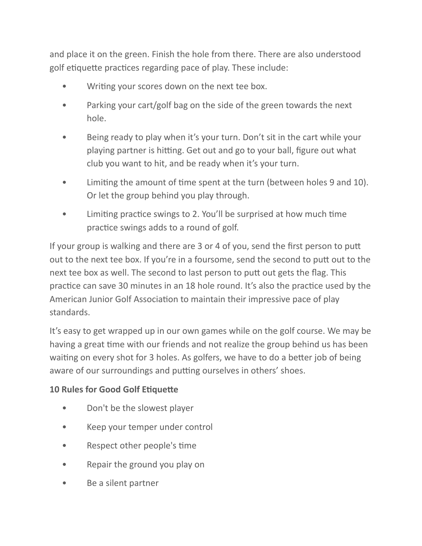and place it on the green. Finish the hole from there. There are also understood golf etiquette practices regarding pace of play. These include:

- Writing your scores down on the next tee box.
- Parking your cart/golf bag on the side of the green towards the next hole.
- Being ready to play when it's your turn. Don't sit in the cart while your playing partner is hitting. Get out and go to your ball, figure out what club you want to hit, and be ready when it's your turn.
- Limiting the amount of time spent at the turn (between holes 9 and 10). Or let the group behind you play through.
- Limiting practice swings to 2. You'll be surprised at how much time practice swings adds to a round of golf.

If your group is walking and there are 3 or 4 of you, send the first person to putt out to the next tee box. If you're in a foursome, send the second to putt out to the next tee box as well. The second to last person to putt out gets the flag. This practice can save 30 minutes in an 18 hole round. It's also the practice used by the American Junior Golf Association to maintain their impressive pace of play standards.

It's easy to get wrapped up in our own games while on the golf course. We may be having a great time with our friends and not realize the group behind us has been waiting on every shot for 3 holes. As golfers, we have to do a better job of being aware of our surroundings and putting ourselves in others' shoes.

### **10 Rules for Good Golf Etiquette**

- Don't be the slowest player
- Keep your temper under control
- Respect other people's time
- Repair the ground you play on
- Be a silent partner